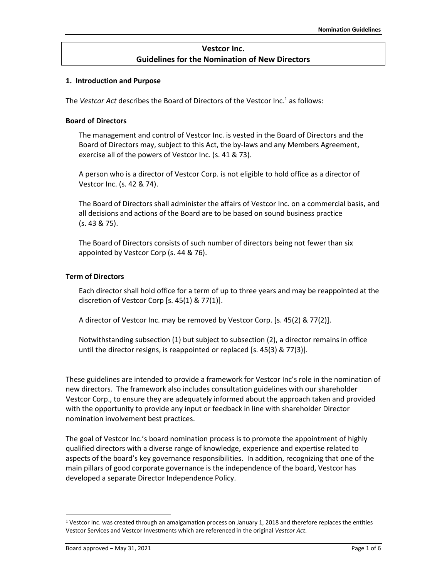## **Vestcor Inc. Guidelines for the Nomination of New Directors**

#### **1. Introduction and Purpose**

The *Vestcor Act* describes the Board of Directors of the Vestcor Inc. <sup>1</sup> as follows:

### **Board of Directors**

The management and control of Vestcor Inc. is vested in the Board of Directors and the Board of Directors may, subject to this Act, the by-laws and any Members Agreement, exercise all of the powers of Vestcor Inc. (s. 41 & 73).

A person who is a director of Vestcor Corp. is not eligible to hold office as a director of Vestcor Inc. (s. 42 & 74).

The Board of Directors shall administer the affairs of Vestcor Inc. on a commercial basis, and all decisions and actions of the Board are to be based on sound business practice (s. 43 & 75).

The Board of Directors consists of such number of directors being not fewer than six appointed by Vestcor Corp (s. 44 & 76).

### **Term of Directors**

Each director shall hold office for a term of up to three years and may be reappointed at the discretion of Vestcor Corp [s. 45(1) & 77(1)].

A director of Vestcor Inc. may be removed by Vestcor Corp. [s. 45(2) & 77(2)].

Notwithstanding subsection (1) but subject to subsection (2), a director remains in office until the director resigns, is reappointed or replaced [s. 45(3) & 77(3)].

These guidelines are intended to provide a framework for Vestcor Inc's role in the nomination of new directors. The framework also includes consultation guidelines with our shareholder Vestcor Corp., to ensure they are adequately informed about the approach taken and provided with the opportunity to provide any input or feedback in line with shareholder Director nomination involvement best practices.

The goal of Vestcor Inc.'s board nomination process is to promote the appointment of highly qualified directors with a diverse range of knowledge, experience and expertise related to aspects of the board's key governance responsibilities. In addition, recognizing that one of the main pillars of good corporate governance is the independence of the board, Vestcor has developed a separate Director Independence Policy.

<sup>&</sup>lt;sup>1</sup> Vestcor Inc. was created through an amalgamation process on January 1, 2018 and therefore replaces the entities Vestcor Services and Vestcor Investments which are referenced in the original *Vestcor Act*.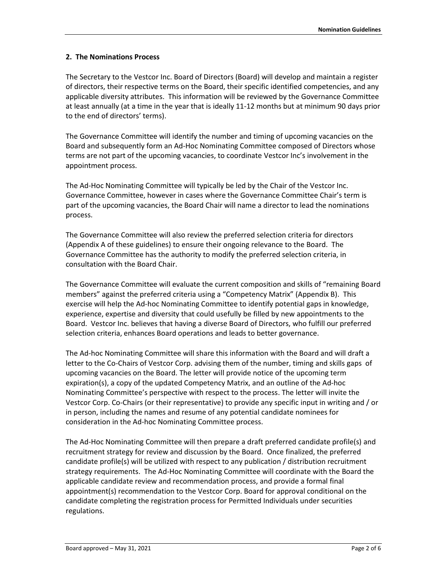## **2. The Nominations Process**

The Secretary to the Vestcor Inc. Board of Directors (Board) will develop and maintain a register of directors, their respective terms on the Board, their specific identified competencies, and any applicable diversity attributes. This information will be reviewed by the Governance Committee at least annually (at a time in the year that is ideally 11-12 months but at minimum 90 days prior to the end of directors' terms).

The Governance Committee will identify the number and timing of upcoming vacancies on the Board and subsequently form an Ad-Hoc Nominating Committee composed of Directors whose terms are not part of the upcoming vacancies, to coordinate Vestcor Inc's involvement in the appointment process.

The Ad-Hoc Nominating Committee will typically be led by the Chair of the Vestcor Inc. Governance Committee, however in cases where the Governance Committee Chair's term is part of the upcoming vacancies, the Board Chair will name a director to lead the nominations process.

The Governance Committee will also review the preferred selection criteria for directors (Appendix A of these guidelines) to ensure their ongoing relevance to the Board. The Governance Committee has the authority to modify the preferred selection criteria, in consultation with the Board Chair.

The Governance Committee will evaluate the current composition and skills of "remaining Board members" against the preferred criteria using a "Competency Matrix" (Appendix B). This exercise will help the Ad-hoc Nominating Committee to identify potential gaps in knowledge, experience, expertise and diversity that could usefully be filled by new appointments to the Board. Vestcor Inc. believes that having a diverse Board of Directors, who fulfill our preferred selection criteria, enhances Board operations and leads to better governance.

The Ad-hoc Nominating Committee will share this information with the Board and will draft a letter to the Co-Chairs of Vestcor Corp. advising them of the number, timing and skills gaps of upcoming vacancies on the Board. The letter will provide notice of the upcoming term expiration(s), a copy of the updated Competency Matrix, and an outline of the Ad-hoc Nominating Committee's perspective with respect to the process. The letter will invite the Vestcor Corp. Co-Chairs (or their representative) to provide any specific input in writing and / or in person, including the names and resume of any potential candidate nominees for consideration in the Ad-hoc Nominating Committee process.

The Ad-Hoc Nominating Committee will then prepare a draft preferred candidate profile(s) and recruitment strategy for review and discussion by the Board. Once finalized, the preferred candidate profile(s) will be utilized with respect to any publication / distribution recruitment strategy requirements. The Ad-Hoc Nominating Committee will coordinate with the Board the applicable candidate review and recommendation process, and provide a formal final appointment(s) recommendation to the Vestcor Corp. Board for approval conditional on the candidate completing the registration process for Permitted Individuals under securities regulations.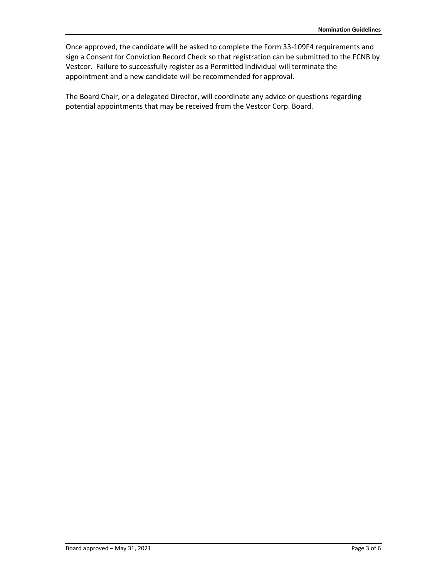Once approved, the candidate will be asked to complete the Form 33-109F4 requirements and sign a Consent for Conviction Record Check so that registration can be submitted to the FCNB by Vestcor. Failure to successfully register as a Permitted Individual will terminate the appointment and a new candidate will be recommended for approval.

The Board Chair, or a delegated Director, will coordinate any advice or questions regarding potential appointments that may be received from the Vestcor Corp. Board.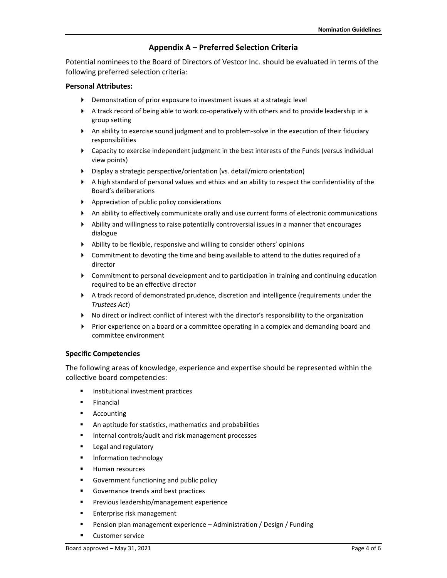## **Appendix A – Preferred Selection Criteria**

Potential nominees to the Board of Directors of Vestcor Inc. should be evaluated in terms of the following preferred selection criteria:

## **Personal Attributes:**

- Demonstration of prior exposure to investment issues at a strategic level
- A track record of being able to work co-operatively with others and to provide leadership in a group setting
- An ability to exercise sound judgment and to problem-solve in the execution of their fiduciary responsibilities
- Capacity to exercise independent judgment in the best interests of the Funds (versus individual view points)
- Display a strategic perspective/orientation (vs. detail/micro orientation)
- $\blacktriangleright$  A high standard of personal values and ethics and an ability to respect the confidentiality of the Board's deliberations
- Appreciation of public policy considerations
- An ability to effectively communicate orally and use current forms of electronic communications
- Ability and willingness to raise potentially controversial issues in a manner that encourages dialogue
- Ability to be flexible, responsive and willing to consider others' opinions
- Commitment to devoting the time and being available to attend to the duties required of a director
- Commitment to personal development and to participation in training and continuing education required to be an effective director
- A track record of demonstrated prudence, discretion and intelligence (requirements under the *Trustees Act*)
- No direct or indirect conflict of interest with the director's responsibility to the organization
- Prior experience on a board or a committee operating in a complex and demanding board and committee environment

## **Specific Competencies**

The following areas of knowledge, experience and expertise should be represented within the collective board competencies:

- Institutional investment practices
- Financial
- Accounting
- An aptitude for statistics, mathematics and probabilities
- Internal controls/audit and risk management processes
- Legal and regulatory
- **■** Information technology
- Human resources
- Government functioning and public policy
- Governance trends and best practices
- **•** Previous leadership/management experience
- **Enterprise risk management**
- Pension plan management experience Administration / Design / Funding
- Customer service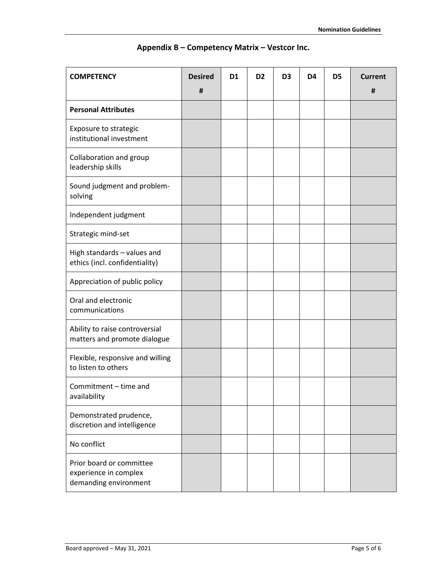| <b>COMPETENCY</b>                                                          | <b>Desired</b><br>Ħ | D <sub>1</sub> | D <sub>2</sub> | D <sub>3</sub> | D <sub>4</sub> | D <sub>5</sub> | <b>Current</b><br>Ħ |
|----------------------------------------------------------------------------|---------------------|----------------|----------------|----------------|----------------|----------------|---------------------|
| <b>Personal Attributes</b>                                                 |                     |                |                |                |                |                |                     |
| Exposure to strategic<br>institutional investment                          |                     |                |                |                |                |                |                     |
| Collaboration and group<br>leadership skills                               |                     |                |                |                |                |                |                     |
| Sound judgment and problem-<br>solving                                     |                     |                |                |                |                |                |                     |
| Independent judgment                                                       |                     |                |                |                |                |                |                     |
| Strategic mind-set                                                         |                     |                |                |                |                |                |                     |
| High standards - values and<br>ethics (incl. confidentiality)              |                     |                |                |                |                |                |                     |
| Appreciation of public policy                                              |                     |                |                |                |                |                |                     |
| Oral and electronic<br>communications                                      |                     |                |                |                |                |                |                     |
| Ability to raise controversial<br>matters and promote dialogue             |                     |                |                |                |                |                |                     |
| Flexible, responsive and willing<br>to listen to others                    |                     |                |                |                |                |                |                     |
| Commitment - time and<br>availability                                      |                     |                |                |                |                |                |                     |
| Demonstrated prudence,<br>discretion and intelligence                      |                     |                |                |                |                |                |                     |
| No conflict                                                                |                     |                |                |                |                |                |                     |
| Prior board or committee<br>experience in complex<br>demanding environment |                     |                |                |                |                |                |                     |

# **Appendix B – Competency Matrix – Vestcor Inc.**